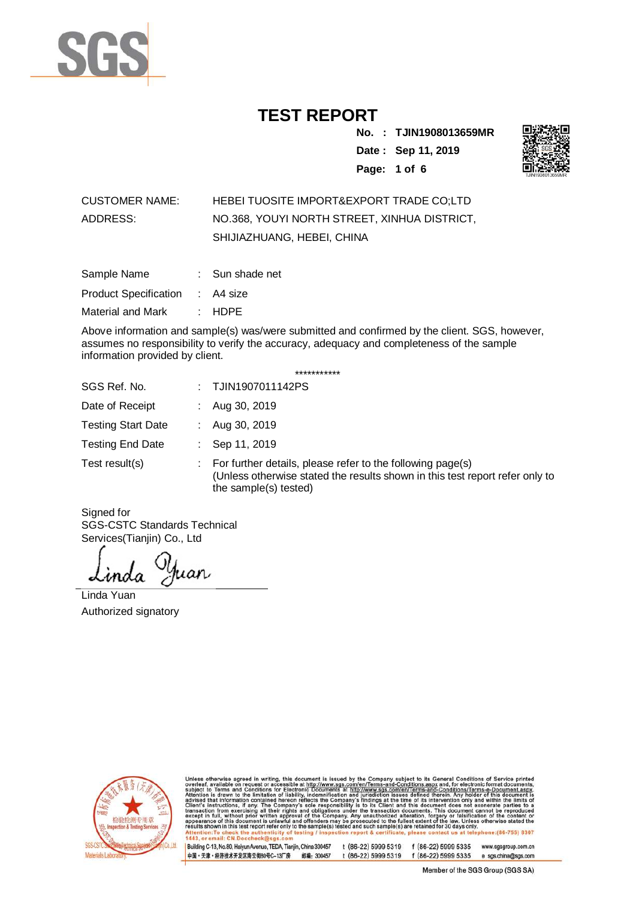

**No. : TJIN1908013659MR Date : Sep 11, 2019 Page: 1 of 6** 



#### CUSTOMER NAME: HEBEI TUOSITE IMPORT&EXPORT TRADE CO;LTD ADDRESS: NO.368, YOUYI NORTH STREET, XINHUA DISTRICT, SHIJIAZHUANG, HEBEI, CHINA

| Sample Name           | : Sun shade net |
|-----------------------|-----------------|
| Product Specification | : A4 size       |
| Material and Mark     | $:$ HDPE        |

Above information and sample(s) was/were submitted and confirmed by the client. SGS, however, assumes no responsibility to verify the accuracy, adequacy and completeness of the sample information provided by client.

\*\*\*\*\*\*\*\*\*\*\*

| SGS Ref. No.              | : TJIN1907011142PS                                                                                                                                                  |
|---------------------------|---------------------------------------------------------------------------------------------------------------------------------------------------------------------|
| Date of Receipt           | Aug 30, 2019                                                                                                                                                        |
| <b>Testing Start Date</b> | Aug 30, 2019                                                                                                                                                        |
| <b>Testing End Date</b>   | Sep 11, 2019                                                                                                                                                        |
| Test result(s)            | For further details, please refer to the following page(s)<br>(Unless otherwise stated the results shown in this test report refer only to<br>the sample(s) tested) |

Signed for SGS-CSTC Standards Technical Services(Tianjin) Co., Ltd

uan

Linda Yuan Authorized signatory



Unless otherwise agreed in writing, this document is issued by the Company subject to its General Conditions of Service printed subject to Terms and Conditions for Electronic Documents at http://www.sgs.com/en/Terms-and-C  $(86-755) 8307$ il: CN.Doccheck

t (86-22) 5999 5319 f (86-22) 5999 5335 www.sgsgroup.com.cn Building C-13, No.80, Haiyun Avenue, TEDA, Tianjin, China 300457 中国·天津·经济技术开发区海云街80号C-13厂房 邮编: 300457 t (86-22) 5999 5319 f (86-22) 5999 5335 e sgs.china@sgs.com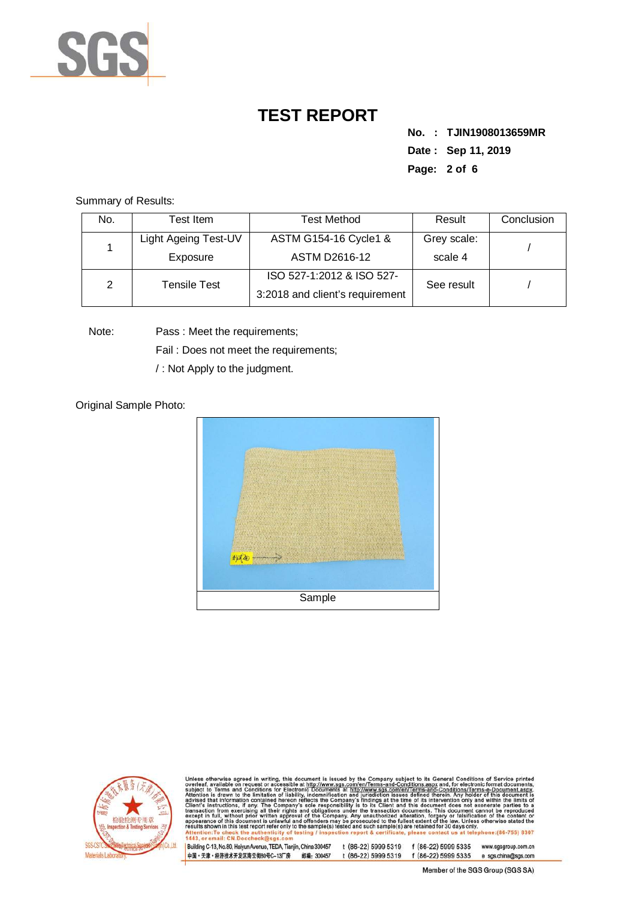

**No. : TJIN1908013659MR Date : Sep 11, 2019 Page: 2 of 6** 

Summary of Results:

| No. | Test Item            | <b>Test Method</b>              | Result      | Conclusion |
|-----|----------------------|---------------------------------|-------------|------------|
|     | Light Ageing Test-UV | ASTM G154-16 Cycle1 &           | Grey scale: |            |
|     | Exposure             | ASTM D2616-12                   | scale 4     |            |
| 2   | <b>Tensile Test</b>  | ISO 527-1:2012 & ISO 527-       | See result  |            |
|     |                      | 3:2018 and client's requirement |             |            |

Note: Pass : Meet the requirements;

Fail : Does not meet the requirements;

/ : Not Apply to the judgment.

Original Sample Photo:





Unless otherwise agreed in writing, this document is issued by the Company subject to its General Conditions of Service printed overleaf, available on request or accessible at http://www.sgs.com/en/Terms-and-Conditions.as e:(86-755) 8307 il: CN.Doccheck

|Building C-13, No.80, Halyun Avenue, TEDA, Tianjin, China 300457 t (86-22) 5999 5319 f (86-22) 5999 5335 www.sgsgroup.com.cn<br>|中国・天津・经济技术开发区海云街80号C-13厂房 邮编: 300457 t (86-22) 5999 5319 f (86-22) 5999 5335 e sgs.china@sgs.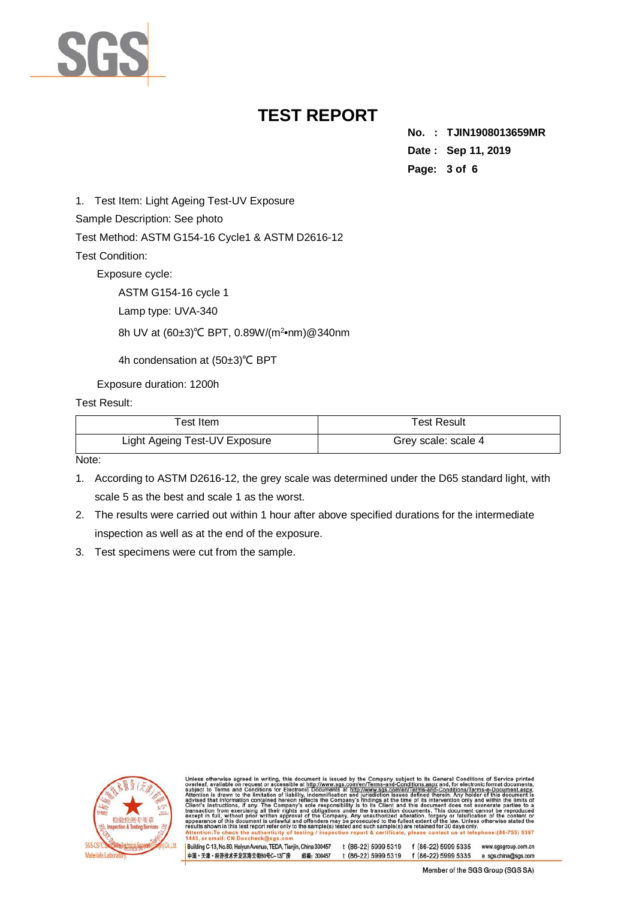

**No. : TJIN1908013659MR Date : Sep 11, 2019 Page: 3 of 6** 

1. Test Item: Light Ageing Test-UV Exposure

Sample Description: See photo

Test Method: ASTM G154-16 Cycle1 & ASTM D2616-12

Test Condition:

Exposure cycle:

ASTM G154-16 cycle 1

Lamp type: UVA-340

8h UV at (60±3)°C BPT, 0.89W/(m<sup>2</sup>•nm)@340nm

4h condensation at (50±3)℃ BPT

Exposure duration: 1200h

Test Result:

| Test Item                     | <b>Test Result</b>  |
|-------------------------------|---------------------|
| Light Ageing Test-UV Exposure | Grey scale: scale 4 |

Note:

- 1. According to ASTM D2616-12, the grey scale was determined under the D65 standard light, with scale 5 as the best and scale 1 as the worst.
- 2. The results were carried out within 1 hour after above specified durations for the intermediate inspection as well as at the end of the exposure.
- 3. Test specimens were cut from the sample.



otherwise agreed in writing, this document is issued by the Company subject to its General Conditions of Service printed<br>t, available on request or accessible at th<u>tp://www.ses.com/en/Terms-and-Onditions assystem</u> for ele subject to saction<br>ept in fu  $(86-755) 8307$  $H: CND$ 

t (86-22) 5999 5319 f (86-22) 5999 5335 www.sgsgroup.com.cn Building C-13, No.80, Haiyun Avenue, TEDA, Tianjin, China 300457 中国·天津·经济技术开发区海云街80号C-13厂房 邮编: 300457 t (86-22) 5999 5319 f (86-22) 5999 5335 e sgs.china@sgs.com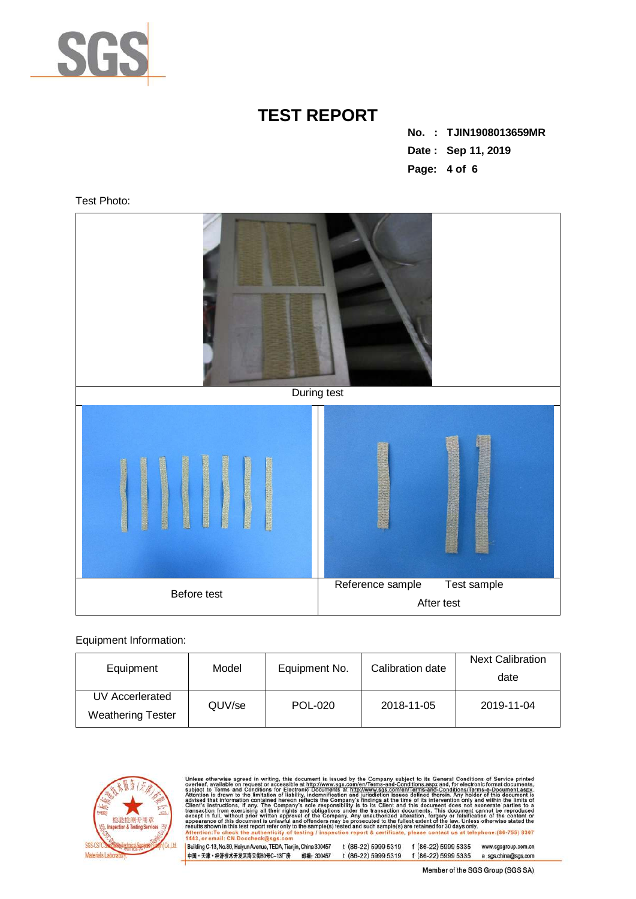

**No. : TJIN1908013659MR Date : Sep 11, 2019 Page: 4 of 6** 

Test Photo:



#### Equipment Information:

| Equipment                                   | Model  | Equipment No. | Calibration date | <b>Next Calibration</b><br>date |
|---------------------------------------------|--------|---------------|------------------|---------------------------------|
| UV Accerlerated<br><b>Weathering Tester</b> | QUV/se | POL-020       | 2018-11-05       | 2019-11-04                      |



Unless otherwise agreed in writing, this document is issued by the Company subject to its General Conditions of Service printed overleaf, available on request or accessible at http://www.sgs.com/en/Terms-and-Conditions.as

|<br>|Building C-13, No.80, Haiyun Avenue, TEDA, Tianjin, China 300457 t (86-22) 5999 5319 f (86-22) 5999 5335 www.sgsgroup.com.cn<br>|中国・天津・经济技术开发区海云街80号C-13厂房 邮编: 300457 t (86-22) 5999 5319 f (86-22) 5999 5335 e sgs.china@sg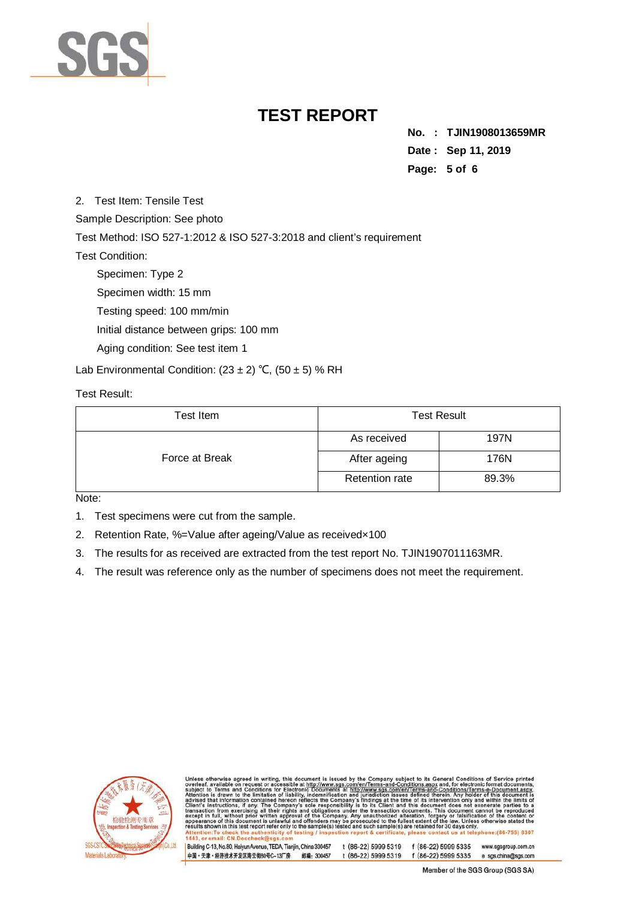

**No. : TJIN1908013659MR Date : Sep 11, 2019 Page: 5 of 6** 

2. Test Item: Tensile Test

Sample Description: See photo

Test Method: ISO 527-1:2012 & ISO 527-3:2018 and client's requirement

Test Condition:

Specimen: Type 2

Specimen width: 15 mm

Testing speed: 100 mm/min

Initial distance between grips: 100 mm

Aging condition: See test item 1

Lab Environmental Condition:  $(23 \pm 2)$  °C,  $(50 \pm 5)$  % RH

Test Result:

| Test Item      | <b>Test Result</b>    |       |  |
|----------------|-----------------------|-------|--|
|                | As received           | 197N  |  |
| Force at Break | After ageing          | 176N  |  |
|                | <b>Retention rate</b> | 89.3% |  |

Note:

- 1. Test specimens were cut from the sample.
- 2. Retention Rate, %=Value after ageing/Value as receivedx100
- 3. The results for as received are extracted from the test report No. TJIN1907011163MR.
- 4. The result was reference only as the number of specimens does not meet the requirement.



therwise agreed in writing, this document is issued by the Company subject to its General Conditions of Service printed<br>available on request or accessible at http://www.sgs.com/en/Terms-and-Conditions.aspx and, for electro subject to<br>Attention sponsibility is to its Client and this document does not exoner<br>ations under the transaction documents. This document cannot<br>company. Any unauthorized alteration, forgery or falsification o<br>is may be prosecuted to the full  $(86 - 755) 8307$ 

t (86-22) 5999 5319 f (86-22) 5999 5335 www.sgsgroup.com.cn Building C-13, No.80, Haiyun Avenue, TEDA, Tianjin, China 300457 中国·天津·经济技术开发区海云街80号C-13厂房 邮编: 300457 t (86-22) 5999 5319 f (86-22) 5999 5335 e sgs.china@sgs.com